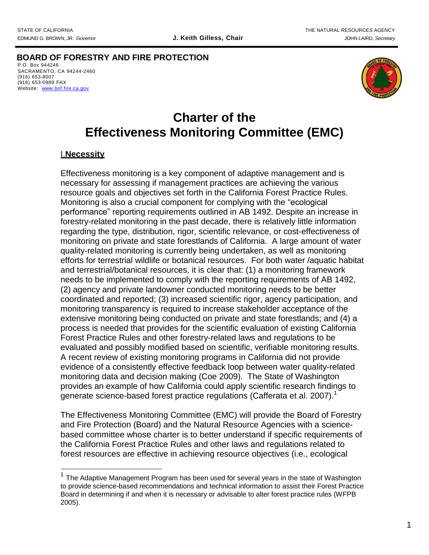**BOARD OF FORESTRY AND FIRE PROTECTION** P.O. Box 944246 SACRAMENTO, CA 94244-2460 (916) 653-8007 (916) 653-0989 FAX Website: [www.b](http://www/)of.fire.ca.gov



# **Charter of the Effectiveness Monitoring Committee (EMC)**

## I.**Necessity**

Effectiveness monitoring is a key component of adaptive management and is necessary for assessing if management practices are achieving the various resource goals and objectives set forth in the California Forest Practice Rules. Monitoring is also a crucial component for complying with the "ecological performance" reporting requirements outlined in AB 1492. Despite an increase in forestry-related monitoring in the past decade, there is relatively little information regarding the type, distribution, rigor, scientific relevance, or cost-effectiveness of monitoring on private and state forestlands of California. A large amount of water quality-related monitoring is currently being undertaken, as well as monitoring efforts for terrestrial wildlife or botanical resources. For both water /aquatic habitat and terrestrial/botanical resources, it is clear that: (1) a monitoring framework needs to be implemented to comply with the reporting requirements of AB 1492, (2) agency and private landowner conducted monitoring needs to be better coordinated and reported; (3) increased scientific rigor, agency participation, and monitoring transparency is required to increase stakeholder acceptance of the extensive monitoring being conducted on private and state forestlands; and (4) a process is needed that provides for the scientific evaluation of existing California Forest Practice Rules and other forestry-related laws and regulations to be evaluated and possibly modified based on scientific, verifiable monitoring results. A recent review of existing monitoring programs in California did not provide evidence of a consistently effective feedback loop between water quality-related monitoring data and decision making (Coe 2009). The State of Washington provides an example of how California could apply scientific research findings to generate science-based forest practice regulations (Cafferata et al. 2007).<sup>1</sup>

The Effectiveness Monitoring Committee (EMC) will provide the Board of Forestry and Fire Protection (Board) and the Natural Resource Agencies with a sciencebased committee whose charter is to better understand if specific requirements of the California Forest Practice Rules and other laws and regulations related to forest resources are effective in achieving resource objectives (i.e., ecological

 $1$  The Adaptive Management Program has been used for several years in the state of Washington to provide science-based recommendations and technical information to assist their Forest Practice Board in determining if and when it is necessary or advisable to alter forest practice rules (WFPB 2005).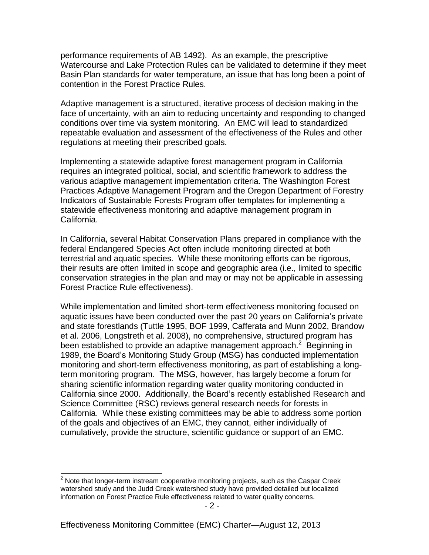performance requirements of AB 1492). As an example, the prescriptive Watercourse and Lake Protection Rules can be validated to determine if they meet Basin Plan standards for water temperature, an issue that has long been a point of contention in the Forest Practice Rules.

Adaptive management is a structured, iterative process of decision making in the face of uncertainty, with an aim to reducing uncertainty and responding to changed conditions over time via system monitoring. An EMC will lead to standardized repeatable evaluation and assessment of the effectiveness of the Rules and other regulations at meeting their prescribed goals.

Implementing a statewide adaptive forest management program in California requires an integrated political, social, and scientific framework to address the various adaptive management implementation criteria. The Washington Forest Practices Adaptive Management Program and the Oregon Department of Forestry Indicators of Sustainable Forests Program offer templates for implementing a statewide effectiveness monitoring and adaptive management program in California.

In California, several Habitat Conservation Plans prepared in compliance with the federal Endangered Species Act often include monitoring directed at both terrestrial and aquatic species. While these monitoring efforts can be rigorous, their results are often limited in scope and geographic area (i.e., limited to specific conservation strategies in the plan and may or may not be applicable in assessing Forest Practice Rule effectiveness).

While implementation and limited short-term effectiveness monitoring focused on aquatic issues have been conducted over the past 20 years on California's private and state forestlands (Tuttle 1995, BOF 1999, Cafferata and Munn 2002, Brandow et al. 2006, Longstreth et al. 2008), no comprehensive, structured program has been established to provide an adaptive management approach.<sup>2</sup> Beginning in 1989, the Board's Monitoring Study Group (MSG) has conducted implementation monitoring and short-term effectiveness monitoring, as part of establishing a longterm monitoring program. The MSG, however, has largely become a forum for sharing scientific information regarding water quality monitoring conducted in California since 2000. Additionally, the Board's recently established Research and Science Committee (RSC) reviews general research needs for forests in California. While these existing committees may be able to address some portion of the goals and objectives of an EMC, they cannot, either individually of cumulatively, provide the structure, scientific guidance or support of an EMC.

 $2$  Note that longer-term instream cooperative monitoring projects, such as the Caspar Creek watershed study and the Judd Creek watershed study have provided detailed but localized information on Forest Practice Rule effectiveness related to water quality concerns.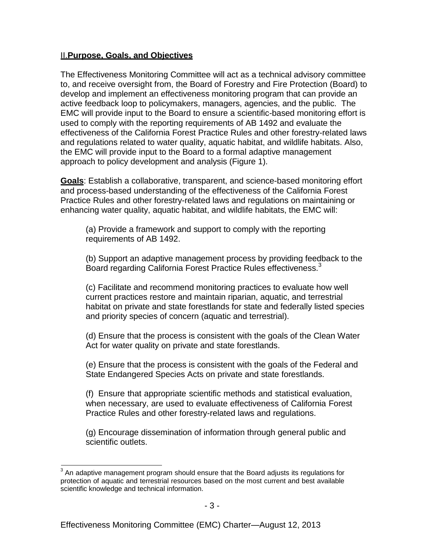## II.**Purpose, Goals, and Objectives**

The Effectiveness Monitoring Committee will act as a technical advisory committee to, and receive oversight from, the Board of Forestry and Fire Protection (Board) to develop and implement an effectiveness monitoring program that can provide an active feedback loop to policymakers, managers, agencies, and the public. The EMC will provide input to the Board to ensure a scientific-based monitoring effort is used to comply with the reporting requirements of AB 1492 and evaluate the effectiveness of the California Forest Practice Rules and other forestry-related laws and regulations related to water quality, aquatic habitat, and wildlife habitats. Also, the EMC will provide input to the Board to a formal adaptive management approach to policy development and analysis (Figure 1).

**Goals**: Establish a collaborative, transparent, and science-based monitoring effort and process-based understanding of the effectiveness of the California Forest Practice Rules and other forestry-related laws and regulations on maintaining or enhancing water quality, aquatic habitat, and wildlife habitats, the EMC will:

(a) Provide a framework and support to comply with the reporting requirements of AB 1492.

(b) Support an adaptive management process by providing feedback to the Board regarding California Forest Practice Rules effectiveness.<sup>3</sup>

(c) Facilitate and recommend monitoring practices to evaluate how well current practices restore and maintain riparian, aquatic, and terrestrial habitat on private and state forestlands for state and federally listed species and priority species of concern (aquatic and terrestrial).

(d) Ensure that the process is consistent with the goals of the Clean Water Act for water quality on private and state forestlands.

(e) Ensure that the process is consistent with the goals of the Federal and State Endangered Species Acts on private and state forestlands.

(f) Ensure that appropriate scientific methods and statistical evaluation, when necessary, are used to evaluate effectiveness of California Forest Practice Rules and other forestry-related laws and regulations.

(g) Encourage dissemination of information through general public and scientific outlets.

<sup>3</sup> An adaptive management program should ensure that the Board adjusts its regulations for protection of aquatic and terrestrial resources based on the most current and best available scientific knowledge and technical information.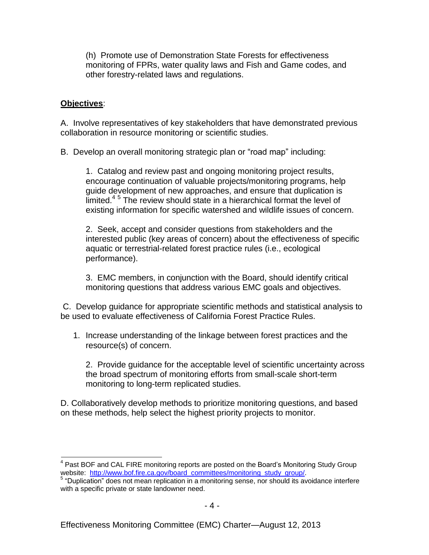(h) Promote use of Demonstration State Forests for effectiveness monitoring of FPRs, water quality laws and Fish and Game codes, and other forestry-related laws and regulations.

## **Objectives**:

A. Involve representatives of key stakeholders that have demonstrated previous collaboration in resource monitoring or scientific studies.

B. Develop an overall monitoring strategic plan or "road map" including:

1. Catalog and review past and ongoing monitoring project results, encourage continuation of valuable projects/monitoring programs, help guide development of new approaches, and ensure that duplication is limited.<sup>45</sup> The review should state in a hierarchical format the level of existing information for specific watershed and wildlife issues of concern.

2. Seek, accept and consider questions from stakeholders and the interested public (key areas of concern) about the effectiveness of specific aquatic or terrestrial-related forest practice rules (i.e., ecological performance).

3. EMC members, in conjunction with the Board, should identify critical monitoring questions that address various EMC goals and objectives.

C. Develop guidance for appropriate scientific methods and statistical analysis to be used to evaluate effectiveness of California Forest Practice Rules.

1. Increase understanding of the linkage between forest practices and the resource(s) of concern.

2. Provide guidance for the acceptable level of scientific uncertainty across the broad spectrum of monitoring efforts from small-scale short-term monitoring to long-term replicated studies.

D. Collaboratively develop methods to prioritize monitoring questions, and based on these methods, help select the highest priority projects to monitor.

<sup>&</sup>lt;sup>4</sup> Past BOF and CAL FIRE monitoring reports are posted on the Board's Monitoring Study Group website: [http://www.bof.fire.ca.gov/board\\_committees/monitoring\\_study\\_group/.](http://www.bof.fire.ca.gov/board_committees/monitoring_study_group/)

<sup>&</sup>lt;sup>5</sup> "Duplication" does not mean replication in a monitoring sense, nor should its avoidance interfere with a specific private or state landowner need.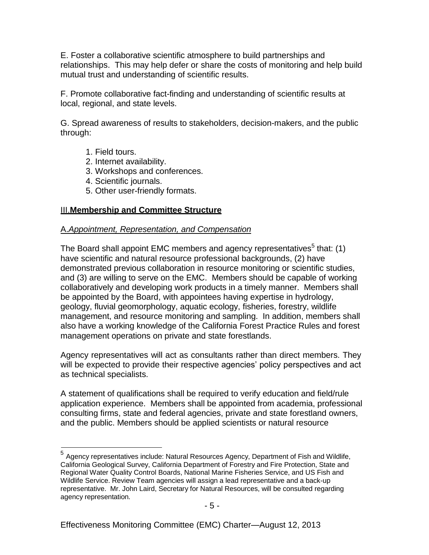E. Foster a collaborative scientific atmosphere to build partnerships and relationships. This may help defer or share the costs of monitoring and help build mutual trust and understanding of scientific results.

F. Promote collaborative fact-finding and understanding of scientific results at local, regional, and state levels.

G. Spread awareness of results to stakeholders, decision-makers, and the public through:

- 1. Field tours.
- 2. Internet availability.
- 3. Workshops and conferences.
- 4. Scientific journals.
- 5. Other user-friendly formats.

## III.**Membership and Committee Structure**

#### A.*Appointment, Representation, and Compensation*

The Board shall appoint EMC members and agency representatives $<sup>5</sup>$  that: (1)</sup> have scientific and natural resource professional backgrounds, (2) have demonstrated previous collaboration in resource monitoring or scientific studies, and (3) are willing to serve on the EMC. Members should be capable of working collaboratively and developing work products in a timely manner. Members shall be appointed by the Board, with appointees having expertise in hydrology, geology, fluvial geomorphology, aquatic ecology, fisheries, forestry, wildlife management, and resource monitoring and sampling. In addition, members shall also have a working knowledge of the California Forest Practice Rules and forest management operations on private and state forestlands.

Agency representatives will act as consultants rather than direct members. They will be expected to provide their respective agencies' policy perspectives and act as technical specialists.

A statement of qualifications shall be required to verify education and field/rule application experience. Members shall be appointed from academia, professional consulting firms, state and federal agencies, private and state forestland owners, and the public. Members should be applied scientists or natural resource

<sup>&</sup>lt;sup>5</sup> Agency representatives include: Natural Resources Agency, Department of Fish and Wildlife, California Geological Survey, California Department of Forestry and Fire Protection, State and Regional Water Quality Control Boards, National Marine Fisheries Service, and US Fish and Wildlife Service. Review Team agencies will assign a lead representative and a back-up representative. Mr. John Laird, Secretary for Natural Resources, will be consulted regarding agency representation.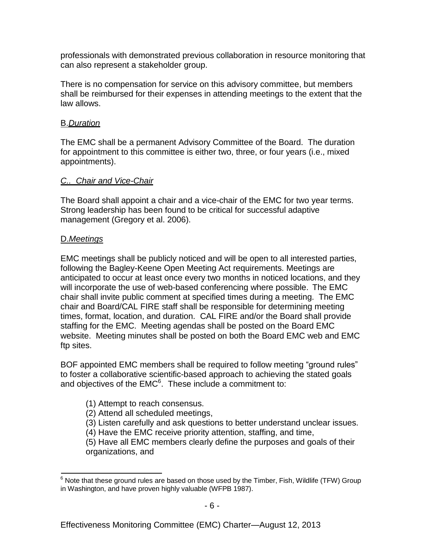professionals with demonstrated previous collaboration in resource monitoring that can also represent a stakeholder group.

There is no compensation for service on this advisory committee, but members shall be reimbursed for their expenses in attending meetings to the extent that the law allows.

## B.*Duration*

The EMC shall be a permanent Advisory Committee of the Board. The duration for appointment to this committee is either two, three, or four years (i.e., mixed appointments).

## *C.. Chair and Vice-Chair*

The Board shall appoint a chair and a vice-chair of the EMC for two year terms. Strong leadership has been found to be critical for successful adaptive management (Gregory et al. 2006).

# D.*Meetings*

EMC meetings shall be publicly noticed and will be open to all interested parties, following the Bagley-Keene Open Meeting Act requirements. Meetings are anticipated to occur at least once every two months in noticed locations, and they will incorporate the use of web-based conferencing where possible. The EMC chair shall invite public comment at specified times during a meeting. The EMC chair and Board/CAL FIRE staff shall be responsible for determining meeting times, format, location, and duration. CAL FIRE and/or the Board shall provide staffing for the EMC. Meeting agendas shall be posted on the Board EMC website. Meeting minutes shall be posted on both the Board EMC web and EMC ftp sites.

BOF appointed EMC members shall be required to follow meeting "ground rules" to foster a collaborative scientific-based approach to achieving the stated goals and objectives of the  $EMC<sup>6</sup>$ . These include a commitment to:

- (1) Attempt to reach consensus.
- (2) Attend all scheduled meetings,
- (3) Listen carefully and ask questions to better understand unclear issues.
- (4) Have the EMC receive priority attention, staffing, and time,

(5) Have all EMC members clearly define the purposes and goals of their organizations, and

 $6$  Note that these ground rules are based on those used by the Timber, Fish, Wildlife (TFW) Group in Washington, and have proven highly valuable (WFPB 1987).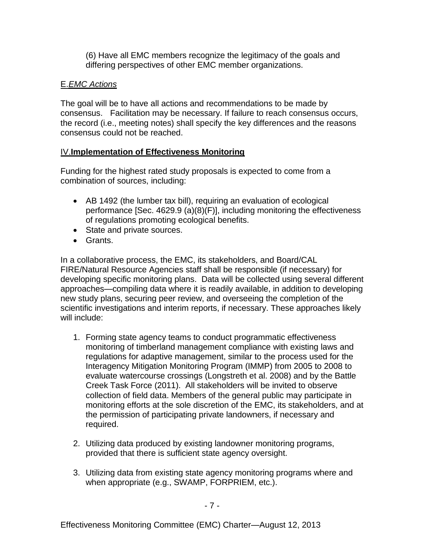(6) Have all EMC members recognize the legitimacy of the goals and differing perspectives of other EMC member organizations.

# E.*EMC Actions*

The goal will be to have all actions and recommendations to be made by consensus. Facilitation may be necessary. If failure to reach consensus occurs, the record (i.e., meeting notes) shall specify the key differences and the reasons consensus could not be reached.

# IV.**Implementation of Effectiveness Monitoring**

Funding for the highest rated study proposals is expected to come from a combination of sources, including:

- AB 1492 (the lumber tax bill), requiring an evaluation of ecological performance [Sec. 4629.9 (a)(8)(F)], including monitoring the effectiveness of regulations promoting ecological benefits.
- State and private sources.
- Grants.

In a collaborative process, the EMC, its stakeholders, and Board/CAL FIRE/Natural Resource Agencies staff shall be responsible (if necessary) for developing specific monitoring plans. Data will be collected using several different approaches—compiling data where it is readily available, in addition to developing new study plans, securing peer review, and overseeing the completion of the scientific investigations and interim reports, if necessary. These approaches likely will include:

- 1. Forming state agency teams to conduct programmatic effectiveness monitoring of timberland management compliance with existing laws and regulations for adaptive management, similar to the process used for the Interagency Mitigation Monitoring Program (IMMP) from 2005 to 2008 to evaluate watercourse crossings (Longstreth et al. 2008) and by the Battle Creek Task Force (2011). All stakeholders will be invited to observe collection of field data. Members of the general public may participate in monitoring efforts at the sole discretion of the EMC, its stakeholders, and at the permission of participating private landowners, if necessary and required.
- 2. Utilizing data produced by existing landowner monitoring programs, provided that there is sufficient state agency oversight.
- 3. Utilizing data from existing state agency monitoring programs where and when appropriate (e.g., SWAMP, FORPRIEM, etc.).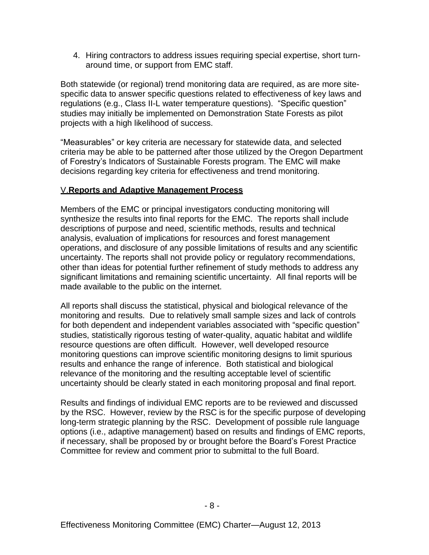4. Hiring contractors to address issues requiring special expertise, short turnaround time, or support from EMC staff.

Both statewide (or regional) trend monitoring data are required, as are more sitespecific data to answer specific questions related to effectiveness of key laws and regulations (e.g., Class II-L water temperature questions). "Specific question" studies may initially be implemented on Demonstration State Forests as pilot projects with a high likelihood of success.

"Measurables" or key criteria are necessary for statewide data, and selected criteria may be able to be patterned after those utilized by the Oregon Department of Forestry's Indicators of Sustainable Forests program. The EMC will make decisions regarding key criteria for effectiveness and trend monitoring.

## V.**Reports and Adaptive Management Process**

Members of the EMC or principal investigators conducting monitoring will synthesize the results into final reports for the EMC. The reports shall include descriptions of purpose and need, scientific methods, results and technical analysis, evaluation of implications for resources and forest management operations, and disclosure of any possible limitations of results and any scientific uncertainty. The reports shall not provide policy or regulatory recommendations, other than ideas for potential further refinement of study methods to address any significant limitations and remaining scientific uncertainty. All final reports will be made available to the public on the internet.

All reports shall discuss the statistical, physical and biological relevance of the monitoring and results. Due to relatively small sample sizes and lack of controls for both dependent and independent variables associated with "specific question" studies, statistically rigorous testing of water-quality, aquatic habitat and wildlife resource questions are often difficult. However, well developed resource monitoring questions can improve scientific monitoring designs to limit spurious results and enhance the range of inference. Both statistical and biological relevance of the monitoring and the resulting acceptable level of scientific uncertainty should be clearly stated in each monitoring proposal and final report.

Results and findings of individual EMC reports are to be reviewed and discussed by the RSC. However, review by the RSC is for the specific purpose of developing long-term strategic planning by the RSC. Development of possible rule language options (i.e., adaptive management) based on results and findings of EMC reports, if necessary, shall be proposed by or brought before the Board's Forest Practice Committee for review and comment prior to submittal to the full Board.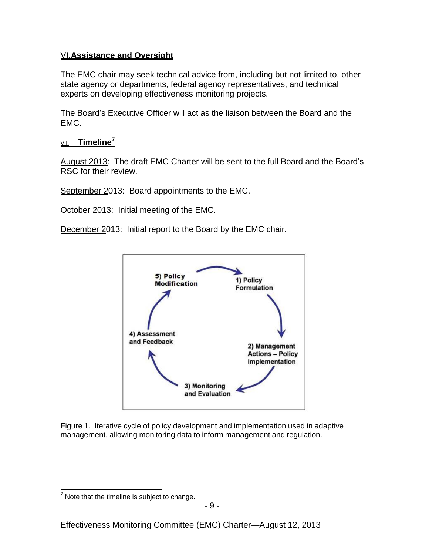## VI.**Assistance and Oversight**

The EMC chair may seek technical advice from, including but not limited to, other state agency or departments, federal agency representatives, and technical experts on developing effectiveness monitoring projects.

The Board's Executive Officer will act as the liaison between the Board and the EMC.

# VII. **Timeline<sup>7</sup>**

August 2013: The draft EMC Charter will be sent to the full Board and the Board's RSC for their review.

September 2013: Board appointments to the EMC.

October 2013: Initial meeting of the EMC.

December 2013: Initial report to the Board by the EMC chair.



Figure 1. Iterative cycle of policy development and implementation used in adaptive management, allowing monitoring data to inform management and regulation.

 $<sup>7</sup>$  Note that the timeline is subject to change.</sup>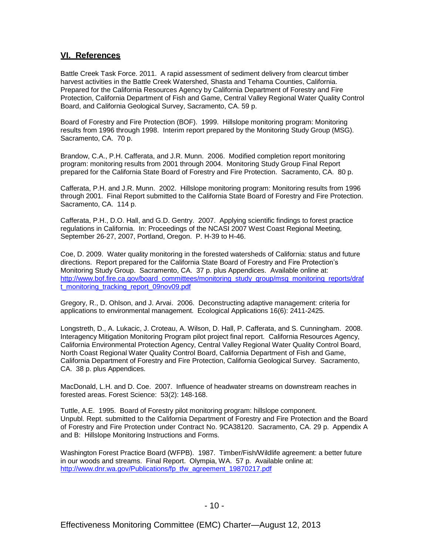#### **VI. References**

Battle Creek Task Force. 2011. A rapid assessment of sediment delivery from clearcut timber harvest activities in the Battle Creek Watershed, Shasta and Tehama Counties, California. Prepared for the California Resources Agency by California Department of Forestry and Fire Protection, California Department of Fish and Game, Central Valley Regional Water Quality Control Board, and California Geological Survey, Sacramento, CA. 59 p.

Board of Forestry and Fire Protection (BOF). 1999. Hillslope monitoring program: Monitoring results from 1996 through 1998. Interim report prepared by the Monitoring Study Group (MSG). Sacramento, CA. 70 p.

Brandow, C.A., P.H. Cafferata, and J.R. Munn. 2006. Modified completion report monitoring program: monitoring results from 2001 through 2004. Monitoring Study Group Final Report prepared for the California State Board of Forestry and Fire Protection. Sacramento, CA. 80 p.

Cafferata, P.H. and J.R. Munn. 2002. Hillslope monitoring program: Monitoring results from 1996 through 2001. Final Report submitted to the California State Board of Forestry and Fire Protection. Sacramento, CA. 114 p.

Cafferata, P.H., D.O. Hall, and G.D. Gentry. 2007. Applying scientific findings to forest practice regulations in California. In: Proceedings of the NCASI 2007 West Coast Regional Meeting, September 26-27, 2007, Portland, Oregon. P. H-39 to H-46.

Coe, D. 2009. Water quality monitoring in the forested watersheds of California: status and future directions. Report prepared for the California State Board of Forestry and Fire Protection's Monitoring Study Group. Sacramento, CA. 37 p. plus Appendices. Available online at: [http://www.bof.fire.ca.gov/board\\_committees/monitoring\\_study\\_group/msg\\_monitoring\\_reports/draf](http://www.bof.fire.ca.gov/board_committees/monitoring_study_group/msg_monitoring_reports/draf) t\_monitoring\_tracking\_report\_09nov09.pdf

Gregory, R., D. Ohlson, and J. Arvai. 2006. Deconstructing adaptive management: criteria for applications to environmental management. Ecological Applications 16(6): 2411-2425.

Longstreth, D., A. Lukacic, J. Croteau, A. Wilson, D. Hall, P. Cafferata, and S. Cunningham. 2008. Interagency Mitigation Monitoring Program pilot project final report. California Resources Agency, California Environmental Protection Agency, Central Valley Regional Water Quality Control Board, North Coast Regional Water Quality Control Board, California Department of Fish and Game, California Department of Forestry and Fire Protection, California Geological Survey. Sacramento, CA. 38 p. plus Appendices.

MacDonald, L.H. and D. Coe. 2007. Influence of headwater streams on downstream reaches in forested areas. Forest Science: 53(2): 148-168.

Tuttle, A.E. 1995. Board of Forestry pilot monitoring program: hillslope component. Unpubl. Rept. submitted to the California Department of Forestry and Fire Protection and the Board of Forestry and Fire Protection under Contract No. 9CA38120. Sacramento, CA. 29 p. Appendix A and B: Hillslope Monitoring Instructions and Forms.

Washington Forest Practice Board (WFPB). 1987. Timber/Fish/Wildlife agreement: a better future in our woods and streams. Final Report. Olympia, WA. 57 p. Available online at: [http://www.dnr.wa.gov/Publications/fp\\_tfw\\_agreement\\_19870217.pdf](http://www.dnr.wa.gov/Publications/fp_tfw_agreement_19870217.pdf)